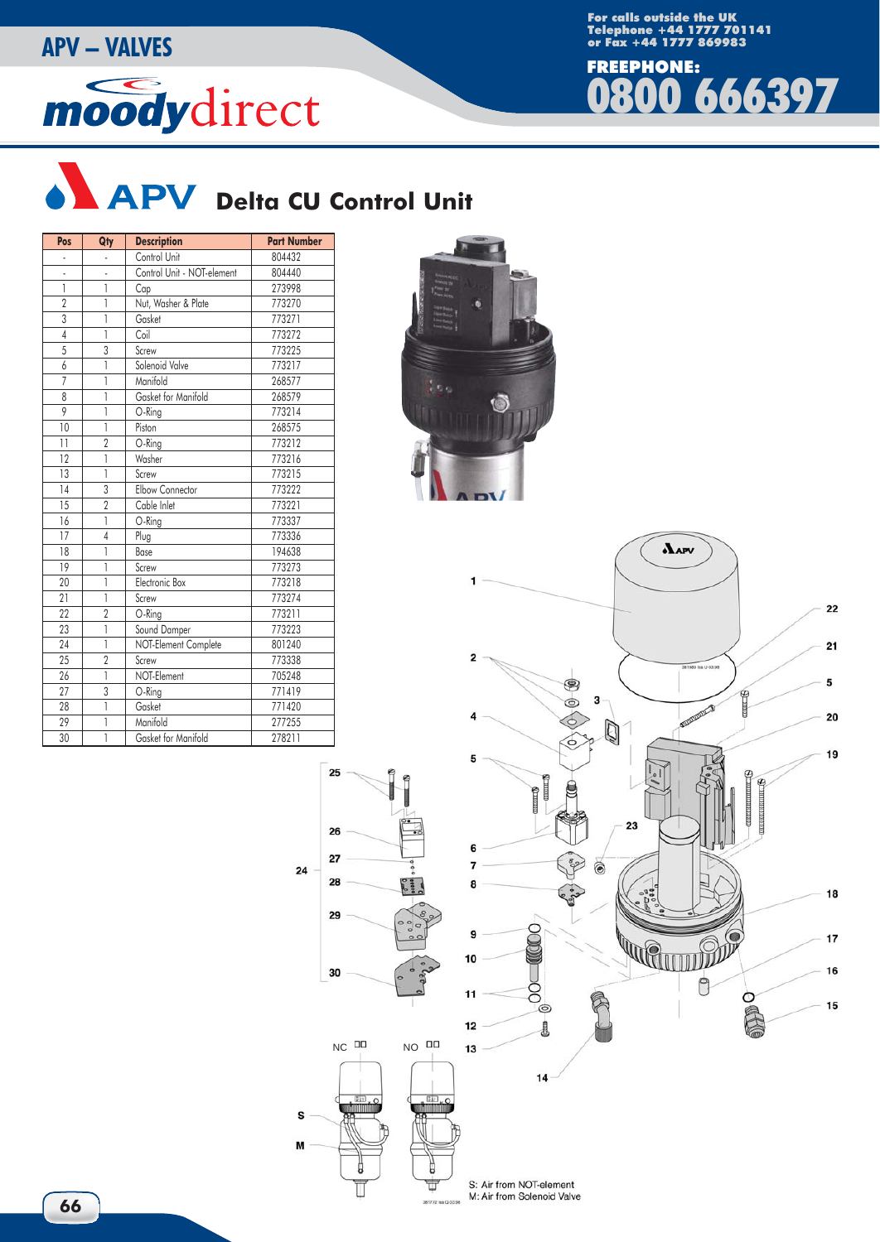## or Fax +44 1777 869983 **APV – VALVES**

## moodydirect

For calls outside the UK Telephone +44 1777 701141





25

26

 $27$ 

28

29

30

 $24$ 

S

M

Б

Ī

ŧ

381772 lss Q

| Pos             | Qty            | <b>Description</b>         | <b>Part Number</b> |  |  |  |
|-----------------|----------------|----------------------------|--------------------|--|--|--|
|                 |                | Control Unit               | 804432             |  |  |  |
|                 |                | Control Unit - NOT-element | 804440             |  |  |  |
| 1               | 1              | Cap                        | 273998             |  |  |  |
| $\overline{2}$  | 1              | Nut, Washer & Plate        | 773270             |  |  |  |
| $\overline{3}$  | 1              | Gasket                     | 773271             |  |  |  |
| $\overline{4}$  | 1              | Coil                       | 773272             |  |  |  |
| $\overline{5}$  | $\overline{3}$ | Screw                      | 773225             |  |  |  |
| $\overline{6}$  | 1              | Solenoid Valve             | 773217             |  |  |  |
| $\overline{7}$  | 1              | Manifold                   | 268577             |  |  |  |
| 8               | 1              | Gasket for Manifold        | 268579             |  |  |  |
| 9               | 1              | O-Ring                     | 773214             |  |  |  |
| 10              | 1              | Piston                     | 268575             |  |  |  |
| 11              | $\overline{2}$ | O-Ring                     | 773212             |  |  |  |
| 12              | 1              | Washer                     | 773216             |  |  |  |
| $\overline{13}$ | 1              | Screw                      | 773215             |  |  |  |
| 14              | 3              | Elbow Connector            | 773222             |  |  |  |
| $\overline{15}$ | $\overline{2}$ | Cable Inlet                | 773221             |  |  |  |
| $\overline{16}$ | 1              | O-Ring                     | 773337             |  |  |  |
| 17              | $\overline{4}$ | Plug                       | 773336             |  |  |  |
| 18              | 1              | Base                       | 194638             |  |  |  |
| 19              | 1              | Screw                      | 773273             |  |  |  |
| 20              | 1              | Electronic Box             | 773218             |  |  |  |
| 21              | 1              | Screw                      | 773274             |  |  |  |
| 22              | $\overline{2}$ | O-Ring                     | 773211             |  |  |  |
| 23              | 1              | Sound Damper               | 773223             |  |  |  |
| 24              | 1              | NOT-Element Complete       | 801240             |  |  |  |
| 25              | $\overline{2}$ | Screw                      | 773338             |  |  |  |
| 26              | 1              | NOT-Element                | 705248             |  |  |  |
| 27              | 3              | O-Ring                     | 771419             |  |  |  |
| 28              | 1              | Gasket                     | 771420             |  |  |  |
| 29              | 1              | Manifold                   | 277255             |  |  |  |
| 30              | 1              | Gasket for Manifold        | 278211             |  |  |  |





S: Air from NOT-element M: Air from Solenoid Valve